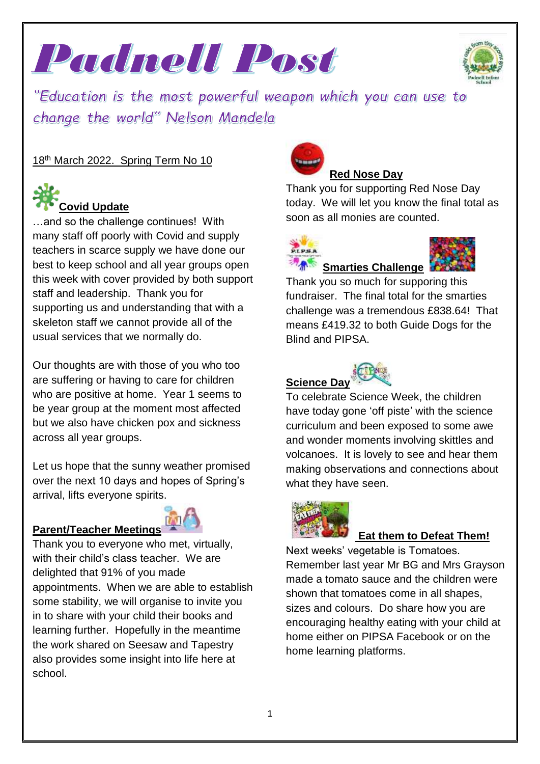



"Education is the most powerful weapon which you can use to change the world" Nelson Mandela

18<sup>th</sup> March 2022. Spring Term No 10



…and so the challenge continues! With many staff off poorly with Covid and supply teachers in scarce supply we have done our best to keep school and all year groups open this week with cover provided by both support staff and leadership. Thank you for supporting us and understanding that with a skeleton staff we cannot provide all of the usual services that we normally do.

Our thoughts are with those of you who too are suffering or having to care for children who are positive at home. Year 1 seems to be year group at the moment most affected but we also have chicken pox and sickness across all year groups.

Let us hope that the sunny weather promised over the next 10 days and hopes of Spring's arrival, lifts everyone spirits.

# **Parent/Teacher Meetings**



Thank you to everyone who met, virtually, with their child's class teacher. We are delighted that 91% of you made appointments. When we are able to establish some stability, we will organise to invite you in to share with your child their books and learning further. Hopefully in the meantime the work shared on Seesaw and Tapestry also provides some insight into life here at school.



Thank you for supporting Red Nose Day today. We will let you know the final total as soon as all monies are counted.





Thank you so much for supporing this fundraiser. The final total for the smarties challenge was a tremendous £838.64! That means £419.32 to both Guide Dogs for the



Blind and PIPSA.

To celebrate Science Week, the children have today gone 'off piste' with the science curriculum and been exposed to some awe and wonder moments involving skittles and volcanoes. It is lovely to see and hear them making observations and connections about what they have seen.



# **Eat them to Defeat Them!**

Next weeks' vegetable is Tomatoes. Remember last year Mr BG and Mrs Grayson made a tomato sauce and the children were shown that tomatoes come in all shapes, sizes and colours. Do share how you are encouraging healthy eating with your child at home either on PIPSA Facebook or on the home learning platforms.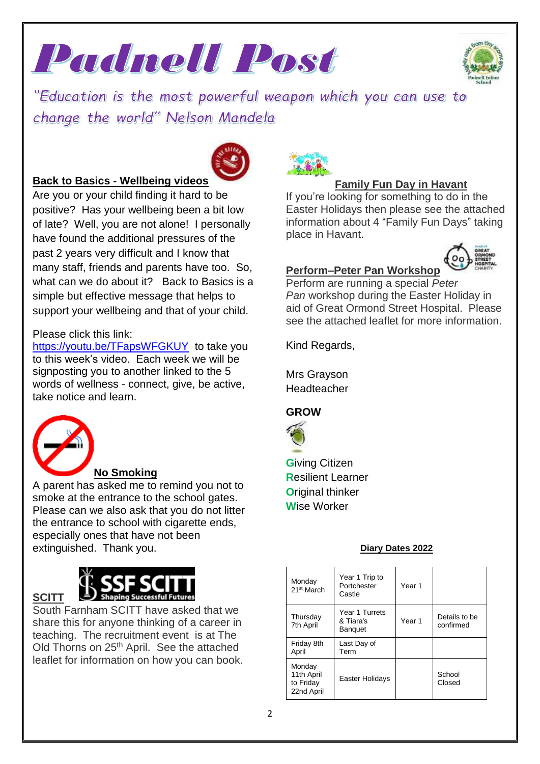



"Education is the most powerful weapon which you can use to change the world" Nelson Mandela



### **Back to Basics - Wellbeing videos**

Are you or your child finding it hard to be positive? Has your wellbeing been a bit low of late? Well, you are not alone! I personally have found the additional pressures of the past 2 years very difficult and I know that many staff, friends and parents have too. So, what can we do about it? Back to Basics is a simple but effective message that helps to support your wellbeing and that of your child.

#### Please click this link:

<https://youtu.be/TFapsWFGKUY>to take you to this week's video. Each week we will be signposting you to another linked to the 5 words of wellness - connect, give, be active, take notice and learn.



**SCITT** 

#### **No Smoking**

A parent has asked me to remind you not to smoke at the entrance to the school gates. Please can we also ask that you do not litter the entrance to school with cigarette ends, especially ones that have not been extinguished. Thank you.



South Farnham SCITT have asked that we share this for anyone thinking of a career in teaching. The recruitment event is at The Old Thorns on 25<sup>th</sup> April. See the attached leaflet for information on how you can book.



#### **Family Fun Day in Havant**

If you're looking for something to do in the Easter Holidays then please see the attached information about 4 "Family Fun Days" taking place in Havant.



### **Perform–Peter Pan Workshop**

Perform are running a special *Peter Pan* workshop during the Easter Holiday in aid of Great Ormond Street Hospital. Please see the attached leaflet for more information.

Kind Regards,

Mrs Grayson **Headteacher** 

## **GROW**



**G**iving Citizen **R**esilient Learner **O**riginal thinker **W**ise Worker

#### **Diary Dates 2022**

| Monday<br>21 <sup>st</sup> March                | Year 1 Trip to<br>Portchester<br>Castle | Year 1 |                            |
|-------------------------------------------------|-----------------------------------------|--------|----------------------------|
| Thursday<br>7th April                           | Year 1 Turrets<br>& Tiara's<br>Banquet  | Year 1 | Details to be<br>confirmed |
| Friday 8th<br>April                             | Last Day of<br>Term                     |        |                            |
| Monday<br>11th April<br>to Friday<br>22nd April | Easter Holidays                         |        | School<br>Closed           |